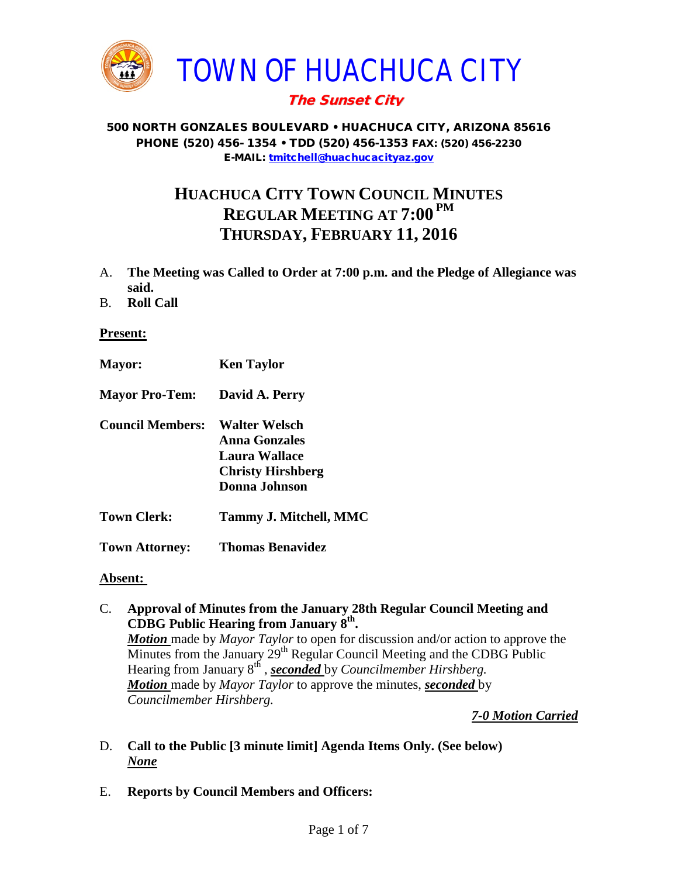

# The Sunset City

#### 500 NORTH GONZALES BOULEVARD • HUACHUCA CITY, ARIZONA 85616 PHONE (520) 456- 1354 • TDD (520) 456-1353 FAX: (520) 456-2230 E-MAIL: [tmitchell@huachucacityaz.gov](mailto:tmitchell@huachucacityaz.gov)

# **HUACHUCA CITY TOWN COUNCIL MINUTES REGULAR MEETING AT 7:00 PM THURSDAY, FEBRUARY 11, 2016**

- A. **The Meeting was Called to Order at 7:00 p.m. and the Pledge of Allegiance was said.**
- B. **Roll Call**

#### **Present:**

**Mayor: Ken Taylor Mayor Pro-Tem: David A. Perry Council Members: Walter Welsch Anna Gonzales Laura Wallace Christy Hirshberg Donna Johnson Town Clerk: Tammy J. Mitchell, MMC Town Attorney: Thomas Benavidez**

#### **Absent:**

C. **Approval of Minutes from the January 28th Regular Council Meeting and CDBG Public Hearing from January 8th.** *Motion* made by *Mayor Taylor* to open for discussion and/or action to approve the Minutes from the January  $29<sup>th</sup>$  Regular Council Meeting and the CDBG Public Hearing from January 8th , *seconded* by *Councilmember Hirshberg. Motion* made by *Mayor Taylor* to approve the minutes, *seconded* by *Councilmember Hirshberg.*

### *7-0 Motion Carried*

- D. **Call to the Public [3 minute limit] Agenda Items Only. (See below)** *None*
- E. **Reports by Council Members and Officers:**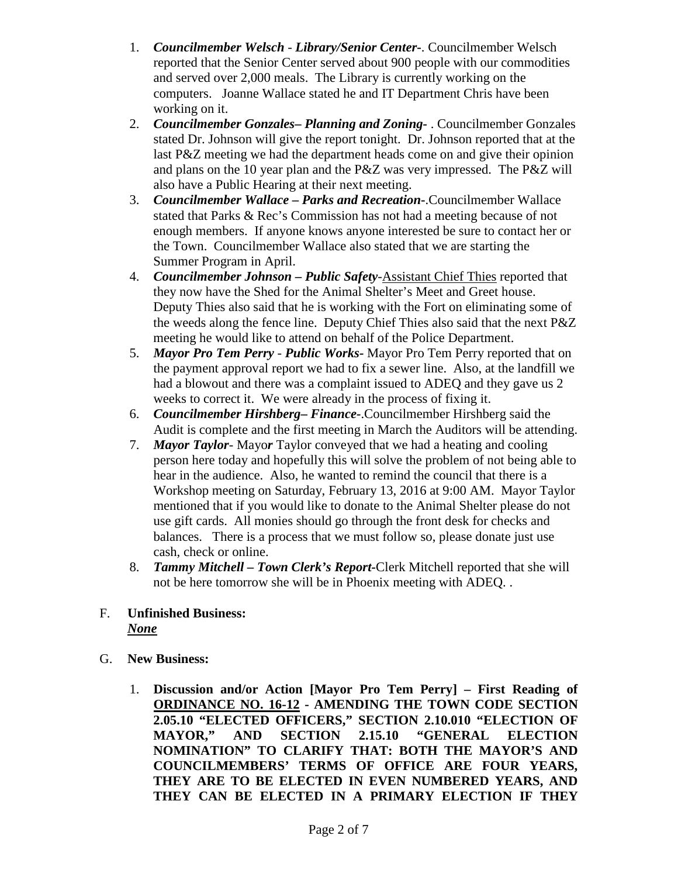- 1. *Councilmember Welsch - Library/Senior Center***-**. Councilmember Welsch reported that the Senior Center served about 900 people with our commodities and served over 2,000 meals. The Library is currently working on the computers. Joanne Wallace stated he and IT Department Chris have been working on it.
- 2. *Councilmember Gonzales***–** *Planning and Zoning-* . Councilmember Gonzales stated Dr. Johnson will give the report tonight. Dr. Johnson reported that at the last P&Z meeting we had the department heads come on and give their opinion and plans on the 10 year plan and the P&Z was very impressed. The P&Z will also have a Public Hearing at their next meeting.
- 3. *Councilmember Wallace* **–** *Parks and Recreation***-**.Councilmember Wallace stated that Parks & Rec's Commission has not had a meeting because of not enough members. If anyone knows anyone interested be sure to contact her or the Town. Councilmember Wallace also stated that we are starting the Summer Program in April.
- 4. *Councilmember Johnson – Public Safety-*Assistant Chief Thies reported that they now have the Shed for the Animal Shelter's Meet and Greet house. Deputy Thies also said that he is working with the Fort on eliminating some of the weeds along the fence line. Deputy Chief Thies also said that the next P&Z meeting he would like to attend on behalf of the Police Department.
- 5. *Mayor Pro Tem Perry Public Works-* Mayor Pro Tem Perry reported that on the payment approval report we had to fix a sewer line. Also, at the landfill we had a blowout and there was a complaint issued to ADEQ and they gave us 2 weeks to correct it. We were already in the process of fixing it.
- 6. *Councilmember Hirshberg***–** *Finance-*.Councilmember Hirshberg said the Audit is complete and the first meeting in March the Auditors will be attending.
- 7. *Mayor Taylor* Mayo*r* Taylor conveyed that we had a heating and cooling person here today and hopefully this will solve the problem of not being able to hear in the audience. Also, he wanted to remind the council that there is a Workshop meeting on Saturday, February 13, 2016 at 9:00 AM. Mayor Taylor mentioned that if you would like to donate to the Animal Shelter please do not use gift cards. All monies should go through the front desk for checks and balances. There is a process that we must follow so, please donate just use cash, check or online.
- 8. *Tammy Mitchell – Town Clerk's Report-*Clerk Mitchell reported that she will not be here tomorrow she will be in Phoenix meeting with ADEQ. .
- F. **Unfinished Business:**  *None*
- G. **New Business:** 
	- 1. **Discussion and/or Action [Mayor Pro Tem Perry] – First Reading of ORDINANCE NO. 16-12 - AMENDING THE TOWN CODE SECTION 2.05.10 "ELECTED OFFICERS," SECTION 2.10.010 "ELECTION OF MAYOR," AND SECTION 2.15.10 "GENERAL ELECTION NOMINATION" TO CLARIFY THAT: BOTH THE MAYOR'S AND COUNCILMEMBERS' TERMS OF OFFICE ARE FOUR YEARS, THEY ARE TO BE ELECTED IN EVEN NUMBERED YEARS, AND THEY CAN BE ELECTED IN A PRIMARY ELECTION IF THEY**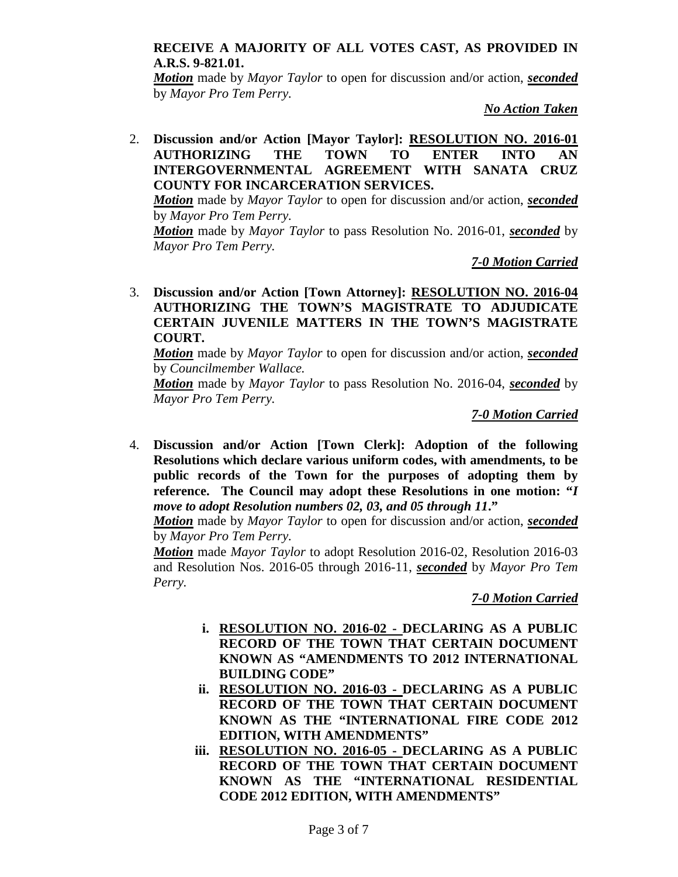#### **RECEIVE A MAJORITY OF ALL VOTES CAST, AS PROVIDED IN A.R.S. 9-821.01.**

*Motion* made by *Mayor Taylor* to open for discussion and/or action, *seconded* by *Mayor Pro Tem Perry.*

*No Action Taken*

2. **Discussion and/or Action [Mayor Taylor]: RESOLUTION NO. 2016-01 AUTHORIZING THE TOWN TO ENTER INTO AN INTERGOVERNMENTAL AGREEMENT WITH SANATA CRUZ COUNTY FOR INCARCERATION SERVICES.**

*Motion* made by *Mayor Taylor* to open for discussion and/or action, *seconded* by *Mayor Pro Tem Perry.*

*Motion* made by *Mayor Taylor* to pass Resolution No. 2016-01, *seconded* by *Mayor Pro Tem Perry.*

*7-0 Motion Carried* 

3. **Discussion and/or Action [Town Attorney]: RESOLUTION NO. 2016-04 AUTHORIZING THE TOWN'S MAGISTRATE TO ADJUDICATE CERTAIN JUVENILE MATTERS IN THE TOWN'S MAGISTRATE COURT.**

*Motion* made by *Mayor Taylor* to open for discussion and/or action, *seconded* by *Councilmember Wallace.*

*Motion* made by *Mayor Taylor* to pass Resolution No. 2016-04, *seconded* by *Mayor Pro Tem Perry.*

*7-0 Motion Carried*

4. **Discussion and/or Action [Town Clerk]: Adoption of the following Resolutions which declare various uniform codes, with amendments, to be public records of the Town for the purposes of adopting them by reference. The Council may adopt these Resolutions in one motion: "***I move to adopt Resolution numbers 02, 03, and 05 through 11***."**

*Motion* made by *Mayor Taylor* to open for discussion and/or action, *seconded* by *Mayor Pro Tem Perry.*

*Motion* made *Mayor Taylor* to adopt Resolution 2016-02, Resolution 2016-03 and Resolution Nos. 2016-05 through 2016-11, *seconded* by *Mayor Pro Tem Perry.*

*7-0 Motion Carried*

- **i. RESOLUTION NO. 2016-02 - DECLARING AS A PUBLIC RECORD OF THE TOWN THAT CERTAIN DOCUMENT KNOWN AS "AMENDMENTS TO 2012 INTERNATIONAL BUILDING CODE"**
- **ii. RESOLUTION NO. 2016-03 - DECLARING AS A PUBLIC RECORD OF THE TOWN THAT CERTAIN DOCUMENT KNOWN AS THE "INTERNATIONAL FIRE CODE 2012 EDITION, WITH AMENDMENTS"**
- **iii. RESOLUTION NO. 2016-05 - DECLARING AS A PUBLIC RECORD OF THE TOWN THAT CERTAIN DOCUMENT KNOWN AS THE "INTERNATIONAL RESIDENTIAL CODE 2012 EDITION, WITH AMENDMENTS"**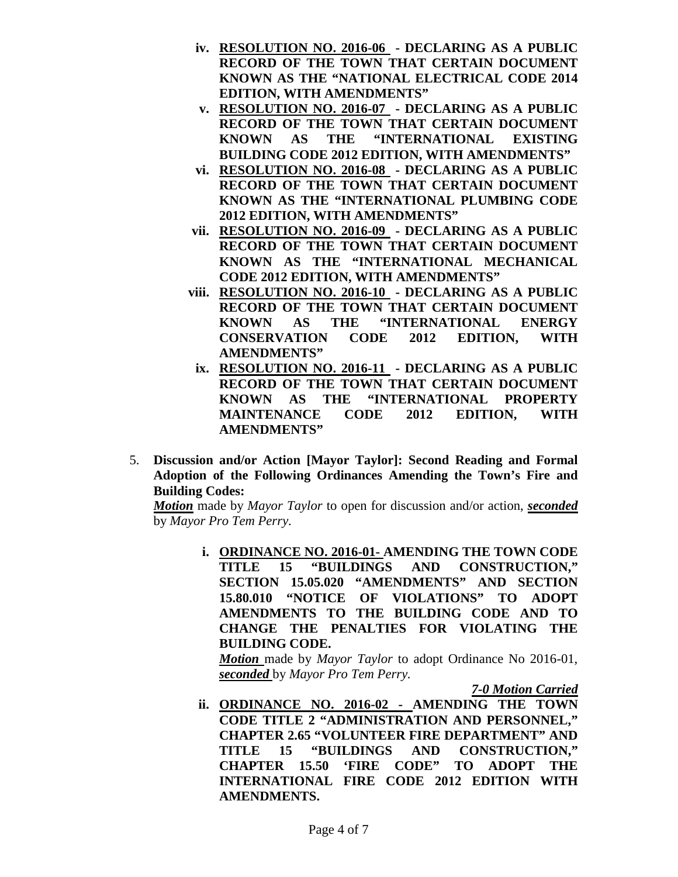- **iv. RESOLUTION NO. 2016-06 - DECLARING AS A PUBLIC RECORD OF THE TOWN THAT CERTAIN DOCUMENT KNOWN AS THE "NATIONAL ELECTRICAL CODE 2014 EDITION, WITH AMENDMENTS"**
- **v. RESOLUTION NO. 2016-07 - DECLARING AS A PUBLIC RECORD OF THE TOWN THAT CERTAIN DOCUMENT KNOWN AS THE "INTERNATIONAL EXISTING BUILDING CODE 2012 EDITION, WITH AMENDMENTS"**
- **vi. RESOLUTION NO. 2016-08 - DECLARING AS A PUBLIC RECORD OF THE TOWN THAT CERTAIN DOCUMENT KNOWN AS THE "INTERNATIONAL PLUMBING CODE 2012 EDITION, WITH AMENDMENTS"**
- **vii. RESOLUTION NO. 2016-09 - DECLARING AS A PUBLIC RECORD OF THE TOWN THAT CERTAIN DOCUMENT KNOWN AS THE "INTERNATIONAL MECHANICAL CODE 2012 EDITION, WITH AMENDMENTS"**
- **viii. RESOLUTION NO. 2016-10 - DECLARING AS A PUBLIC RECORD OF THE TOWN THAT CERTAIN DOCUMENT KNOWN AS THE "INTERNATIONAL ENERGY CONSERVATION CODE 2012 EDITION, WITH AMENDMENTS"**
- **ix. RESOLUTION NO. 2016-11 - DECLARING AS A PUBLIC RECORD OF THE TOWN THAT CERTAIN DOCUMENT KNOWN AS THE "INTERNATIONAL PROPERTY MAINTENANCE CODE 2012 EDITION, WITH AMENDMENTS"**
- 5. **Discussion and/or Action [Mayor Taylor]: Second Reading and Formal Adoption of the Following Ordinances Amending the Town's Fire and Building Codes:**

*Motion* made by *Mayor Taylor* to open for discussion and/or action, *seconded* by *Mayor Pro Tem Perry.*

> **i. ORDINANCE NO. 2016-01- AMENDING THE TOWN CODE TITLE 15 "BUILDINGS AND CONSTRUCTION," SECTION 15.05.020 "AMENDMENTS" AND SECTION 15.80.010 "NOTICE OF VIOLATIONS" TO ADOPT AMENDMENTS TO THE BUILDING CODE AND TO CHANGE THE PENALTIES FOR VIOLATING THE BUILDING CODE.**

*Motion* made by *Mayor Taylor* to adopt Ordinance No 2016-01, *seconded* by *Mayor Pro Tem Perry.*

*7-0 Motion Carried*

**ii. ORDINANCE NO. 2016-02 - AMENDING THE TOWN CODE TITLE 2 "ADMINISTRATION AND PERSONNEL," CHAPTER 2.65 "VOLUNTEER FIRE DEPARTMENT" AND TITLE 15 "BUILDINGS AND CONSTRUCTION," CHAPTER 15.50 'FIRE CODE" TO ADOPT THE INTERNATIONAL FIRE CODE 2012 EDITION WITH AMENDMENTS.**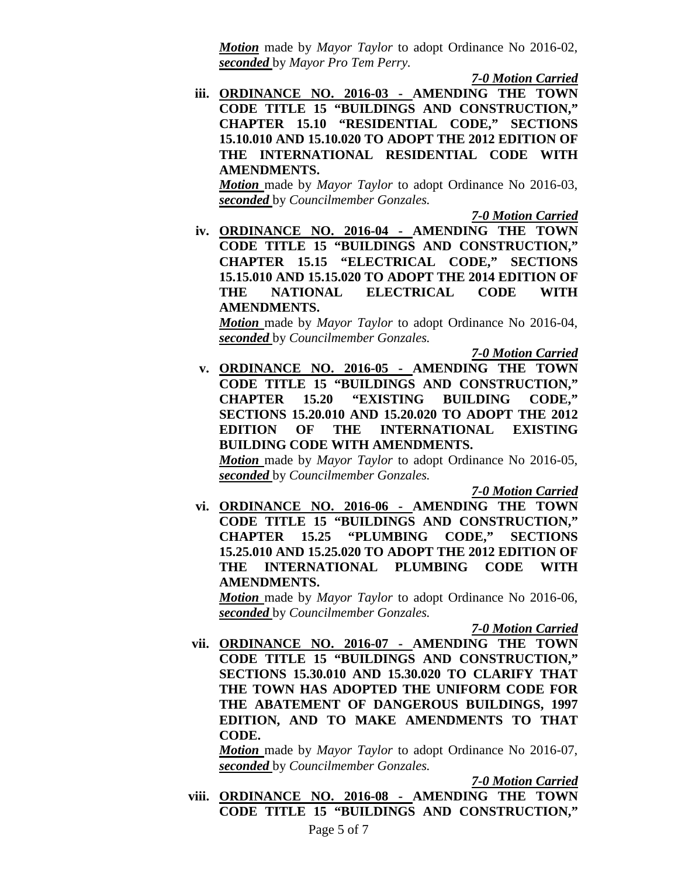*Motion* made by *Mayor Taylor* to adopt Ordinance No 2016-02, *seconded* by *Mayor Pro Tem Perry.*

*7-0 Motion Carried*

**iii. ORDINANCE NO. 2016-03 - AMENDING THE TOWN CODE TITLE 15 "BUILDINGS AND CONSTRUCTION," CHAPTER 15.10 "RESIDENTIAL CODE," SECTIONS 15.10.010 AND 15.10.020 TO ADOPT THE 2012 EDITION OF THE INTERNATIONAL RESIDENTIAL CODE WITH AMENDMENTS.**

*Motion* made by *Mayor Taylor* to adopt Ordinance No 2016-03, *seconded* by *Councilmember Gonzales.*

*7-0 Motion Carried*

**iv. ORDINANCE NO. 2016-04 - AMENDING THE TOWN CODE TITLE 15 "BUILDINGS AND CONSTRUCTION," CHAPTER 15.15 "ELECTRICAL CODE," SECTIONS 15.15.010 AND 15.15.020 TO ADOPT THE 2014 EDITION OF THE NATIONAL ELECTRICAL CODE WITH AMENDMENTS.** 

*Motion* made by *Mayor Taylor* to adopt Ordinance No 2016-04, *seconded* by *Councilmember Gonzales.*

*7-0 Motion Carried*

**v. ORDINANCE NO. 2016-05 - AMENDING THE TOWN CODE TITLE 15 "BUILDINGS AND CONSTRUCTION," CHAPTER 15.20 "EXISTING BUILDING CODE," SECTIONS 15.20.010 AND 15.20.020 TO ADOPT THE 2012 EDITION OF THE INTERNATIONAL EXISTING BUILDING CODE WITH AMENDMENTS.** *Motion* made by *Mayor Taylor* to adopt Ordinance No 2016-05,

*seconded* by *Councilmember Gonzales.*

*7-0 Motion Carried*

**vi. ORDINANCE NO. 2016-06 - AMENDING THE TOWN CODE TITLE 15 "BUILDINGS AND CONSTRUCTION," CHAPTER 15.25 "PLUMBING CODE," SECTIONS 15.25.010 AND 15.25.020 TO ADOPT THE 2012 EDITION OF THE INTERNATIONAL PLUMBING CODE WITH AMENDMENTS.**

*Motion* made by *Mayor Taylor* to adopt Ordinance No 2016-06, *seconded* by *Councilmember Gonzales.*

*7-0 Motion Carried*

**vii. ORDINANCE NO. 2016-07 - AMENDING THE TOWN CODE TITLE 15 "BUILDINGS AND CONSTRUCTION," SECTIONS 15.30.010 AND 15.30.020 TO CLARIFY THAT THE TOWN HAS ADOPTED THE UNIFORM CODE FOR THE ABATEMENT OF DANGEROUS BUILDINGS, 1997 EDITION, AND TO MAKE AMENDMENTS TO THAT CODE.** 

*Motion* made by *Mayor Taylor* to adopt Ordinance No 2016-07, *seconded* by *Councilmember Gonzales.*

*7-0 Motion Carried*

**viii. ORDINANCE NO. 2016-08 - AMENDING THE TOWN CODE TITLE 15 "BUILDINGS AND CONSTRUCTION,"**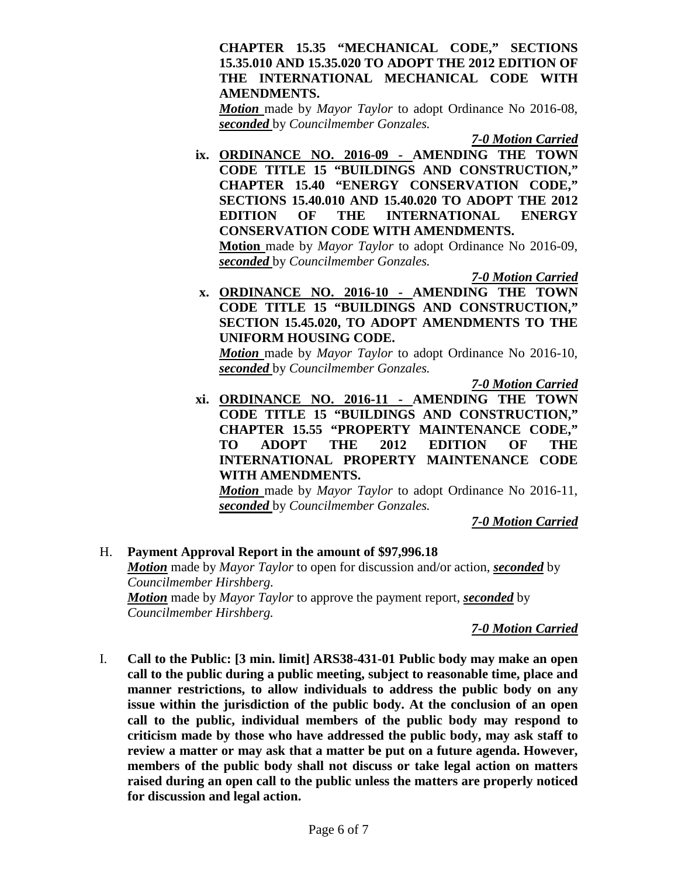#### **CHAPTER 15.35 "MECHANICAL CODE," SECTIONS 15.35.010 AND 15.35.020 TO ADOPT THE 2012 EDITION OF THE INTERNATIONAL MECHANICAL CODE WITH AMENDMENTS.**

*Motion* made by *Mayor Taylor* to adopt Ordinance No 2016-08, *seconded* by *Councilmember Gonzales.*

*7-0 Motion Carried*

**ix. ORDINANCE NO. 2016-09 - AMENDING THE TOWN CODE TITLE 15 "BUILDINGS AND CONSTRUCTION," CHAPTER 15.40 "ENERGY CONSERVATION CODE," SECTIONS 15.40.010 AND 15.40.020 TO ADOPT THE 2012 EDITION OF THE INTERNATIONAL ENERGY CONSERVATION CODE WITH AMENDMENTS. Motion** made by *Mayor Taylor* to adopt Ordinance No 2016-09,

*seconded* by *Councilmember Gonzales.*

*7-0 Motion Carried*

**x. ORDINANCE NO. 2016-10 - AMENDING THE TOWN CODE TITLE 15 "BUILDINGS AND CONSTRUCTION," SECTION 15.45.020, TO ADOPT AMENDMENTS TO THE UNIFORM HOUSING CODE.**

*Motion* made by *Mayor Taylor* to adopt Ordinance No 2016-10, *seconded* by *Councilmember Gonzales.*

*7-0 Motion Carried*

**xi. ORDINANCE NO. 2016-11 - AMENDING THE TOWN CODE TITLE 15 "BUILDINGS AND CONSTRUCTION," CHAPTER 15.55 "PROPERTY MAINTENANCE CODE," TO ADOPT THE 2012 EDITION OF THE INTERNATIONAL PROPERTY MAINTENANCE CODE WITH AMENDMENTS.**

*Motion* made by *Mayor Taylor* to adopt Ordinance No 2016-11, *seconded* by *Councilmember Gonzales.*

*7-0 Motion Carried*

#### H. **Payment Approval Report in the amount of \$97,996.18** *Motion* made by *Mayor Taylor* to open for discussion and/or action, *seconded* by *Councilmember Hirshberg. Motion* made by *Mayor Taylor* to approve the payment report, *seconded* by *Councilmember Hirshberg.*

### *7-0 Motion Carried*

I. **Call to the Public: [3 min. limit] ARS38-431-01 Public body may make an open call to the public during a public meeting, subject to reasonable time, place and manner restrictions, to allow individuals to address the public body on any issue within the jurisdiction of the public body. At the conclusion of an open call to the public, individual members of the public body may respond to criticism made by those who have addressed the public body, may ask staff to review a matter or may ask that a matter be put on a future agenda. However, members of the public body shall not discuss or take legal action on matters raised during an open call to the public unless the matters are properly noticed for discussion and legal action.**